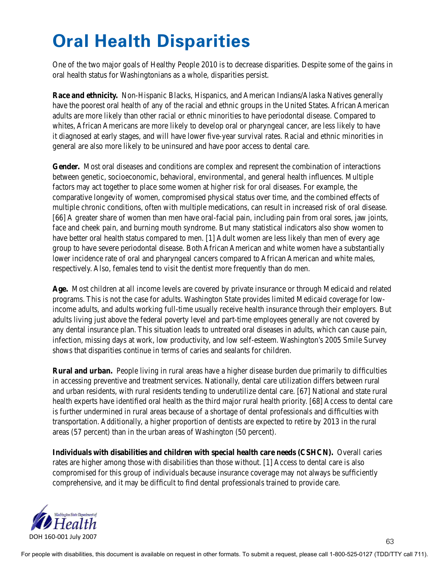## **Oral Health Disparities**

One of the two major goals of Healthy People 2010 is to decrease disparities. Despite some of the gains in oral health status for Washingtonians as a whole, disparities persist.

**Race and ethnicity.** Non-Hispanic Blacks, Hispanics, and American Indians/Alaska Natives generally have the poorest oral health of any of the racial and ethnic groups in the United States. African American adults are more likely than other racial or ethnic minorities to have periodontal disease. Compared to whites, African Americans are more likely to develop oral or pharyngeal cancer, are less likely to have it diagnosed at early stages, and will have lower five-year survival rates. Racial and ethnic minorities in general are also more likely to be uninsured and have poor access to dental care.

**Gender.** Most oral diseases and conditions are complex and represent the combination of interactions between genetic, socioeconomic, behavioral, environmental, and general health influences. Multiple factors may act together to place some women at higher risk for oral diseases. For example, the comparative longevity of women, compromised physical status over time, and the combined effects of multiple chronic conditions, often with multiple medications, can result in increased risk of oral disease. [66] A greater share of women than men have oral-facial pain, including pain from oral sores, jaw joints, face and cheek pain, and burning mouth syndrome. But many statistical indicators also show women to have better oral health status compared to men. [1] Adult women are less likely than men of every age group to have severe periodontal disease. Both African American and white women have a substantially lower incidence rate of oral and pharyngeal cancers compared to African American and white males, respectively. Also, females tend to visit the dentist more frequently than do men.

**Age.** Most children at all income levels are covered by private insurance or through Medicaid and related programs. This is not the case for adults. Washington State provides limited Medicaid coverage for lowincome adults, and adults working full-time usually receive health insurance through their employers. But adults living just above the federal poverty level and part-time employees generally are not covered by any dental insurance plan. This situation leads to untreated oral diseases in adults, which can cause pain, infection, missing days at work, low productivity, and low self-esteem. Washington's 2005 Smile Survey shows that disparities continue in terms of caries and sealants for children.

**Rural and urban.** People living in rural areas have a higher disease burden due primarily to difficulties in accessing preventive and treatment services. Nationally, dental care utilization differs between rural and urban residents, with rural residents tending to underutilize dental care. [67] National and state rural health experts have identified oral health as the third major rural health priority. [68] Access to dental care is further undermined in rural areas because of a shortage of dental professionals and difficulties with transportation. Additionally, a higher proportion of dentists are expected to retire by 2013 in the rural areas (57 percent) than in the urban areas of Washington (50 percent).

**Individuals with disabilities and children with special health care needs (CSHCN).** Overall caries rates are higher among those with disabilities than those without. [1] Access to dental care is also compromised for this group of individuals because insurance coverage may not always be sufficiently comprehensive, and it may be difficult to find dental professionals trained to provide care.